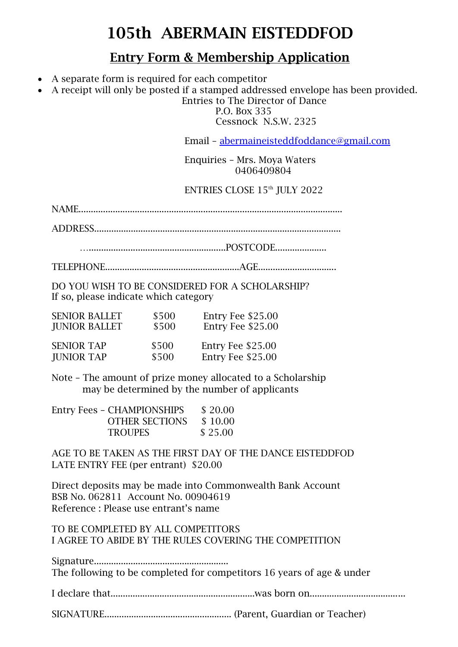## **105th ABERMAIN EISTEDDFOD**

## **Entry Form & Membership Application**

- A separate form is required for each competitor
- A receipt will only be posted if a stamped addressed envelope has been provided.

 Entries to The Director of Dance P.O. Box 335

Cessnock N.S.W. 2325

Email – [abermaineisteddfoddance@gmail.com](mailto:abermaineisteddfoddance@gmail.com)

 Enquiries – Mrs. Moya Waters 0406409804

ENTRIES CLOSE 15<sup>th</sup> JULY 2022

NAME............................................................................................................

ADDRESS.....................................................................................................

…........................................................POSTCODE.....................

TELEPHONE.......................................................AGE................................

DO YOU WISH TO BE CONSIDERED FOR A SCHOLARSHIP? If so, please indicate which category

| <b>SENIOR BALLET</b> | \$500 | Entry Fee \$25.00 |
|----------------------|-------|-------------------|
| <b>JUNIOR BALLET</b> | \$500 | Entry Fee \$25.00 |
| <b>SENIOR TAP</b>    | \$500 | Entry Fee \$25.00 |
| <b>JUNIOR TAP</b>    | \$500 | Entry Fee \$25.00 |

Note – The amount of prize money allocated to a Scholarship may be determined by the number of applicants

| <b>Entry Fees - CHAMPIONSHIPS</b> | \$20.00 |
|-----------------------------------|---------|
| <b>OTHER SECTIONS</b>             | \$10.00 |
| <b>TROUPES</b>                    | \$25.00 |

AGE TO BE TAKEN AS THE FIRST DAY OF THE DANCE EISTEDDFOD LATE ENTRY FEE (per entrant) \$20.00

Direct deposits may be made into Commonwealth Bank Account BSB No. 062811 Account No. 00904619 Reference : Please use entrant's name

TO BE COMPLETED BY ALL COMPETITORS I AGREE TO ABIDE BY THE RULES COVERING THE COMPETITION

Signature....................................................... The following to be completed for competitors 16 years of age & under

I declare that...........................................................was born on.......................................

SIGNATURE.................................................... (Parent, Guardian or Teacher)